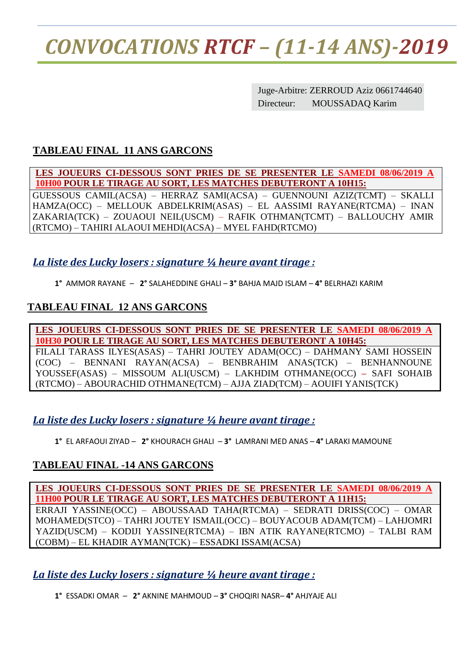## *CONVOCATIONS RTCF – (11-14 ANS)-2019*

Juge-Arbitre: ZERROUD Aziz 0661744640 Directeur: MOUSSADAQ Karim

#### **TABLEAU FINAL 11 ANS GARCONS**

**LES JOUEURS CI-DESSOUS SONT PRIES DE SE PRESENTER LE SAMEDI 08/06/2019 A 10H00 POUR LE TIRAGE AU SORT, LES MATCHES DEBUTERONT A 10H15:**

GUESSOUS CAMIL(ACSA) – HERRAZ SAMI(ACSA) – GUENNOUNI AZIZ(TCMT) – SKALLI HAMZA(OCC) – MELLOUK ABDELKRIM(ASAS) – EL AASSIMI RAYANE(RTCMA) – INAN ZAKARIA(TCK) – ZOUAOUI NEIL(USCM) – RAFIK OTHMAN(TCMT) – BALLOUCHY AMIR (RTCMO) – TAHIRI ALAOUI MEHDI(ACSA) – MYEL FAHD(RTCMO)

#### *La liste des Lucky losers : signature ¼ heure avant tirage :*

**1°** AMMOR RAYANE – **2°** SALAHEDDINE GHALI – **3°** BAHJA MAJD ISLAM – **4°** BELRHAZI KARIM

#### **TABLEAU FINAL 12 ANS GARCONS**

**LES JOUEURS CI-DESSOUS SONT PRIES DE SE PRESENTER LE SAMEDI 08/06/2019 A 10H30 POUR LE TIRAGE AU SORT, LES MATCHES DEBUTERONT A 10H45:**

FILALI TARASS ILYES(ASAS) – TAHRI JOUTEY ADAM(OCC) – DAHMANY SAMI HOSSEIN (COC) – BENNANI RAYAN(ACSA) – BENBRAHIM ANAS(TCK) – BENHANNOUNE YOUSSEF(ASAS) – MISSOUM ALI(USCM) – LAKHDIM OTHMANE(OCC) **–** SAFI SOHAIB (RTCMO) – ABOURACHID OTHMANE(TCM) – AJJA ZIAD(TCM) – AOUIFI YANIS(TCK)

#### *La liste des Lucky losers : signature ¼ heure avant tirage :*

**1°** EL ARFAOUI ZIYAD – **2°** KHOURACH GHALI – **3°** LAMRANI MED ANAS – **4°** LARAKI MAMOUNE

#### **TABLEAU FINAL -14 ANS GARCONS**

**LES JOUEURS CI-DESSOUS SONT PRIES DE SE PRESENTER LE SAMEDI 08/06/2019 A 11H00 POUR LE TIRAGE AU SORT, LES MATCHES DEBUTERONT A 11H15:** ERRAJI YASSINE(OCC) – ABOUSSAAD TAHA(RTCMA) – SEDRATI DRISS(COC) – OMAR MOHAMED(STCO) – TAHRI JOUTEY ISMAIL(OCC) – BOUYACOUB ADAM(TCM) – LAHJOMRI YAZID(USCM) – KODIJI YASSINE(RTCMA) – IBN ATIK RAYANE(RTCMO) – TALBI RAM (COBM) – EL KHADIR AYMAN(TCK) – ESSADKI ISSAM(ACSA)

*La liste des Lucky losers : signature ¼ heure avant tirage :*

**1°** ESSADKI OMAR – **2°** AKNINE MAHMOUD – **3°** CHOQIRI NASR– **4°** AHJYAJE ALI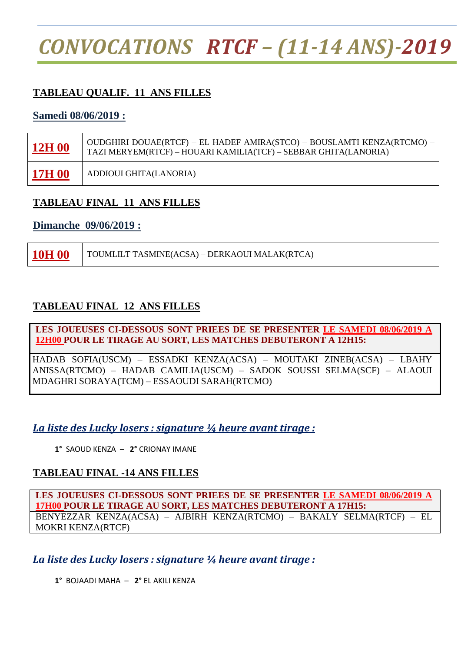## *CONVOCATIONS RTCF – (11-14 ANS)-2019*

#### **TABLEAU QUALIF. 11 ANS FILLES**

#### **Samedi 08/06/2019 :**

| 12H <sub>00</sub> | OUDGHIRI DOUAE(RTCF) – EL HADEF AMIRA(STCO) – BOUSLAMTI KENZA(RTCMO) –<br>TAZI MERYEM(RTCF) - HOUARI KAMILIA(TCF) - SEBBAR GHITA(LANORIA) |
|-------------------|-------------------------------------------------------------------------------------------------------------------------------------------|
| <b>17H 00</b>     | ADDIOUI GHITA(LANORIA)                                                                                                                    |

#### **TABLEAU FINAL 11 ANS FILLES**

#### **Dimanche 09/06/2019 :**

**10H 00** TOUMLILT TASMINE(ACSA) – DERKAOUI MALAK(RTCA)

#### **TABLEAU FINAL 12 ANS FILLES**

**LES JOUEUSES CI-DESSOUS SONT PRIEES DE SE PRESENTER LE SAMEDI 08/06/2019 A 12H00 POUR LE TIRAGE AU SORT, LES MATCHES DEBUTERONT A 12H15:**

HADAB SOFIA(USCM) – ESSADKI KENZA(ACSA) – MOUTAKI ZINEB(ACSA) – LBAHY ANISSA(RTCMO) – HADAB CAMILIA(USCM) – SADOK SOUSSI SELMA(SCF) – ALAOUI MDAGHRI SORAYA(TCM) – ESSAOUDI SARAH(RTCMO)

#### *La liste des Lucky losers : signature ¼ heure avant tirage :*

**1°** SAOUD KENZA – **2°** CRIONAY IMANE

#### **TABLEAU FINAL -14 ANS FILLES**

**LES JOUEUSES CI-DESSOUS SONT PRIEES DE SE PRESENTER LE SAMEDI 08/06/2019 A 17H00 POUR LE TIRAGE AU SORT, LES MATCHES DEBUTERONT A 17H15:** BENYEZZAR KENZA(ACSA) – AJBIRH KENZA(RTCMO) – BAKALY SELMA(RTCF) – EL MOKRI KENZA(RTCF)

*La liste des Lucky losers : signature ¼ heure avant tirage :*

**1°** BOJAADI MAHA – **2°** EL AKILI KENZA